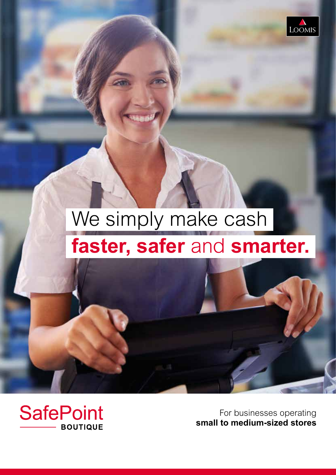

## We simply make cash  **faster, safer** and **smarter.**

**SafePoint BOUTIQUE** 

For businesses operating **small to medium-sized stores**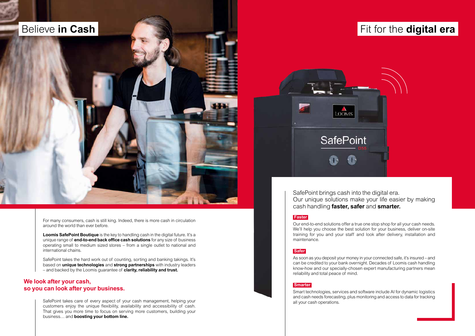For many consumers, cash is still king. Indeed, there is more cash in circulation around the world than ever before.

**Loomis SafePoint Boutique** is the key to handling cash in the digital future. It's a unique range of **end-to-end back office cash solutions** for any size of business operating small to medium sized stores – from a single outlet to national and international chains.

SafePoint takes the hard work out of counting, sorting and banking takings. It's based on **unique technologies** and **strong partnerships** with industry leaders – and backed by the Loomis guarantee of **clarity, reliability and trust.**

SafePoint takes care of every aspect of your cash management, helping your customers enjoy the unique flexibility, availability and accessibility of cash. That gives you more time to focus on serving more customers, building your business… and **boosting your bottom line.**

#### **We look after your cash, so you can look after your business.**



LOOMIS

# Our unique solutions make your life easier by making

#### **Faster**

Our end-to-end solutions offer a true one stop shop for all your cash needs. We'll help you choose the best solution for your business, deliver on-site training for you and your staff and look after delivery, installation and maintenance.

#### **Safer**

As soon as you deposit your money in your connected safe, it's insured – and can be credited to your bank overnight. Decades of Loomis cash handling know-how and our specially-chosen expert manufacturing partners mean reliability and total peace of mind.

#### **Smarter**

Smart technologies, services and software include AI for dynamic logistics and cash needs forecasting, plus monitoring and access to data for tracking all your cash operations.

## **Believe in Cash and South Assembly and South Assembly Cash in Cash and South Assembly Cash in Cash and South Assembly Cash in Cash and South Assembly Cash in Cash in the digital era and South Assembly Cash in the digital**

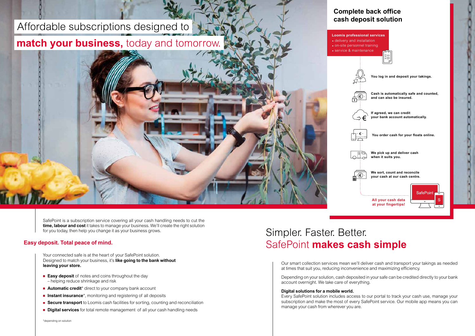Our smart collection services mean we'll deliver cash and transport your takings as needed at times that suit you, reducing inconvenience and maximizing efficiency.

Depending on your solution, cash deposited in your safe can be credited directly to your bank account overnight. We take care of everything.

#### **Digital solutions for a mobile world.**

Every SafePoint solution includes access to our portal to track your cash use, manage your subscription and make the most of every SafePoint service. Our mobile app means you can manage your cash from wherever you are.

delivery and installation on-site personnel training **service & maintenance** 

## Simpler. Faster. Better. SafePoint **makes cash simple**

### **Complete back office cash deposit solution**



SafePoint is a subscription service covering all your cash handling needs to cut the **time, labour and cost** it takes to manage your business. We'll create the right solution for you today, then help you change it as your business grows.

Your connected safe is at the heart of your SafePoint solution. Designed to match your business, it's **like going to the bank without leaving your store.**

- **Easy deposit** of notes and coins throughout the day – helping reduce shrinkage and risk
- **Automatic credit**<sup>\*</sup> direct to your company bank account
- **Instant insurance**<sup>\*</sup>, monitoring and registering of all deposits
- **Secure transport** to Loomis cash facilities for sorting, counting and reconciliation
- **Digital services** for total remote management of all your cash handling needs

#### **Easy deposit. Total peace of mind.**

## Affordable subscriptions designed to

## **match your business,** today and tomorrow.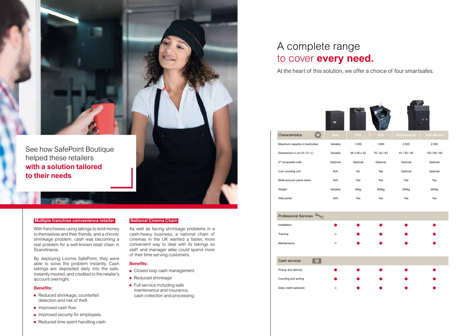#### **Multiple franchise convenience retailer**

With franchisees using takings to lend money to themselves and their friends, and a chronic shrinkage problem, cash was becoming a real problem for a well-known retail chain in Scandinavia.

By deploying Loomis SafePoint, they were able to solve the problem instantly. Cash takings are deposited daily into the safe, instantly insured, and credited to the retailer's account overnight.

#### **Benefits:**

- Reduced shrinkage, counterfeit detection and risk of theft
- $\blacksquare$  Improved cash flow
- $\blacksquare$  Improved security for employees
- Reduced time spent handling cash
- Closed loop cash management
- Reduced shrinkage
- $\blacksquare$  Full service including safe maintenance and insurance, cash collection and processing

#### **National Cinema Chain**

As well as facing shrinkage problems in a cash-heavy business, a national chain of cinemas in the UK wanted a faster, more convenient way to deal with its takings so staff and manager alike could spend more of their time serving customers.

#### **Benefits:**



At the heart of this solution, we offer a choice of four smartsafes.



|                                 |          |                 |                 |                     | $\circ$             |
|---------------------------------|----------|-----------------|-----------------|---------------------|---------------------|
| Characteristics                 | Solo     | D <sub>10</sub> | D <sub>18</sub> | <b>D25 Electrum</b> | D <sub>25</sub> Obo |
| Maximum capacity in banknotes   | Variable | 1.000           | 1.800           | 2.500               | 2.500               |
| Dimensions in cm (H / D / L)    | Variable | 65 x 56 x 32    | 76 / 42 / 63    | 81/55/46            | 120/60/             |
| 2 <sup>nd</sup> accessible safe | Optional | Optional        | Optional        | Optional            | Optiona             |
| Coin counting unit              | N/A      | <b>No</b>       | Yes             | Optional            | Optiona             |
| Multi-account (same bank)       | N/A      | Yes             | Yes             | Yes                 | Yes                 |
| Weight                          | Variable | 54kg            | 260kg           | 265kg               | 480kg               |
| Web portal                      | N/A      | Yes             | Yes             | Yes                 | Yes                 |
|                                 |          |                 |                 |                     |                     |

| <b>Professional Services</b> |  |
|------------------------------|--|
| Installation                 |  |
| Training                     |  |
| Maintenance                  |  |
|                              |  |

| Cash services           | € |  |
|-------------------------|---|--|
| Pickup and delivery     |   |  |
| Counting and sorting    |   |  |
| Daily credit (optional) |   |  |

### A complete range to cover **every need.**